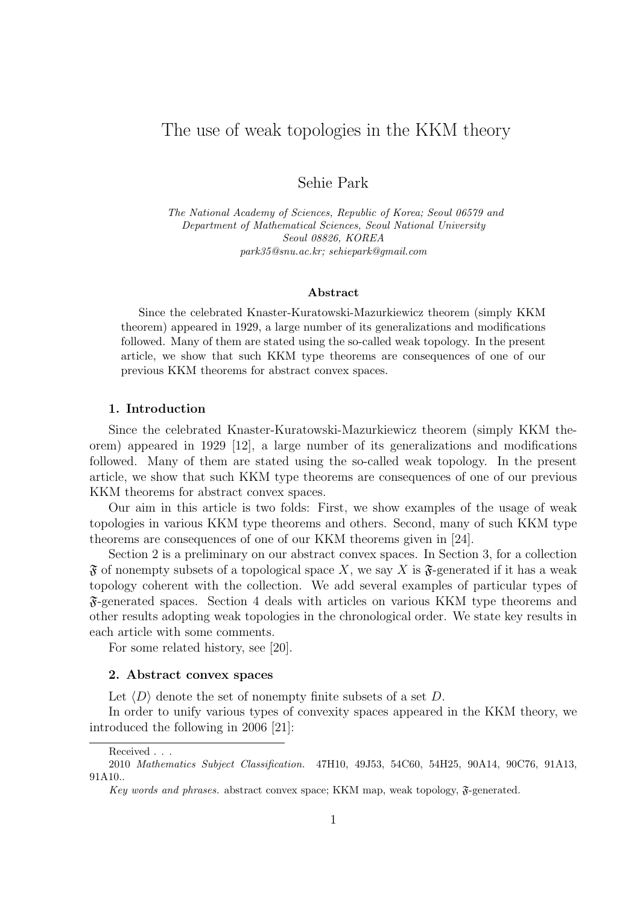# The use of weak topologies in the KKM theory

## Sehie Park

*The National Academy of Sciences, Republic of Korea; Seoul 06579 and Department of Mathematical Sciences, Seoul National University Seoul 08826, KOREA park35@snu.ac.kr; sehiepark@gmail.com*

### **Abstract**

Since the celebrated Knaster-Kuratowski-Mazurkiewicz theorem (simply KKM theorem) appeared in 1929, a large number of its generalizations and modifications followed. Many of them are stated using the so-called weak topology. In the present article, we show that such KKM type theorems are consequences of one of our previous KKM theorems for abstract convex spaces.

#### **1. Introduction**

Since the celebrated Knaster-Kuratowski-Mazurkiewicz theorem (simply KKM theorem) appeared in 1929 [12], a large number of its generalizations and modifications followed. Many of them are stated using the so-called weak topology. In the present article, we show that such KKM type theorems are consequences of one of our previous KKM theorems for abstract convex spaces.

Our aim in this article is two folds: First, we show examples of the usage of weak topologies in various KKM type theorems and others. Second, many of such KKM type theorems are consequences of one of our KKM theorems given in [24].

Section 2 is a preliminary on our abstract convex spaces. In Section 3, for a collection  $\mathfrak F$  of nonempty subsets of a topological space X, we say X is  $\mathfrak F$ -generated if it has a weak topology coherent with the collection. We add several examples of particular types of F-generated spaces. Section 4 deals with articles on various KKM type theorems and other results adopting weak topologies in the chronological order. We state key results in each article with some comments.

For some related history, see [20].

### **2. Abstract convex spaces**

Let *⟨D⟩* denote the set of nonempty finite subsets of a set *D*.

In order to unify various types of convexity spaces appeared in the KKM theory, we introduced the following in 2006 [21]:

Received . . .

<sup>2010</sup> *Mathematics Subject Classification.* 47H10, 49J53, 54C60, 54H25, 90A14, 90C76, 91A13, 91A10..

*Key words and phrases.* abstract convex space; KKM map, weak topology, F-generated.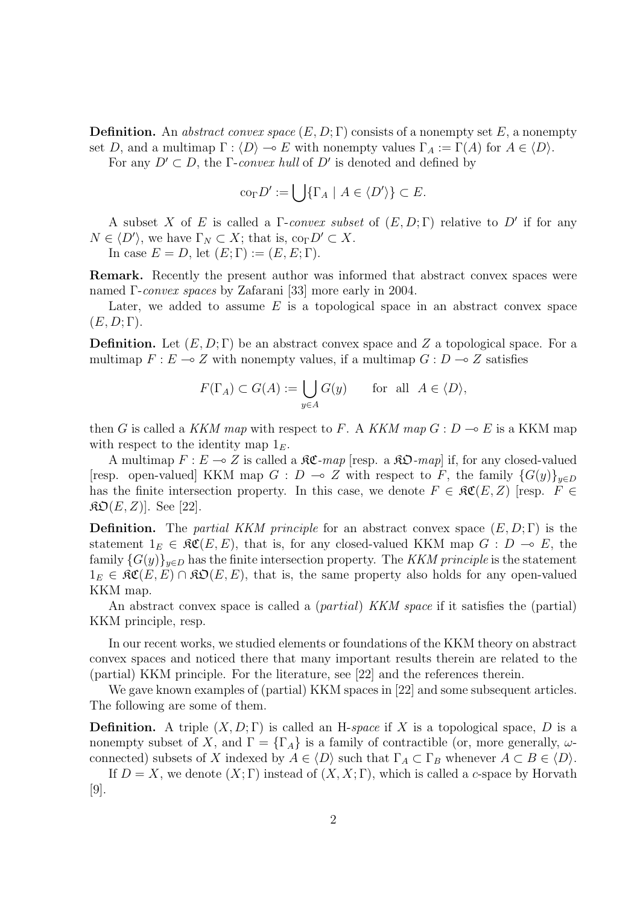**Definition.** An *abstract convex space* (*E, D*; Γ) consists of a nonempty set *E*, a nonempty set *D*, and a multimap  $\Gamma : \langle D \rangle \to E$  with nonempty values  $\Gamma_A := \Gamma(A)$  for  $A \in \langle D \rangle$ .

For any  $D' \subset D$ , the  $\Gamma$ -*convex hull* of  $D'$  is denoted and defined by

$$
\mathrm{co}_{\Gamma}D':=\bigcup\{\Gamma_A\mid A\in\langle D'\rangle\}\subset E.
$$

A subset *X* of *E* is called a Γ-*convex subset* of (*E, D*; Γ) relative to *D′* if for any  $N \in \langle D' \rangle$ , we have  $\Gamma_N \subset X$ ; that is, co<sub> $\Gamma$ </sub> $D' \subset X$ .

In case  $E = D$ , let  $(E; \Gamma) := (E, E; \Gamma)$ .

**Remark.** Recently the present author was informed that abstract convex spaces were named Γ-*convex spaces* by Zafarani [33] more early in 2004.

Later, we added to assume *E* is a topological space in an abstract convex space  $(E, D; \Gamma)$ .

**Definition.** Let  $(E, D; \Gamma)$  be an abstract convex space and Z a topological space. For a multimap  $F: E \to Z$  with nonempty values, if a multimap  $G: D \to Z$  satisfies

$$
F(\Gamma_A) \subset G(A) := \bigcup_{y \in A} G(y) \quad \text{for all } A \in \langle D \rangle,
$$

then *G* is called a *KKM map* with respect to *F*. A *KKM map*  $G : D \to E$  is a KKM map with respect to the identity map  $1<sub>E</sub>$ .

A multimap  $F: E \to Z$  is called a  $\Re \mathfrak{C}$ -map [resp. a  $\Re \mathfrak{O}$ -map] if, for any closed-valued [resp. open-valued] KKM map  $G : D \to Z$  with respect to *F*, the family  $\{G(y)\}_{y \in D}$ has the finite intersection property. In this case, we denote  $F \in \mathcal{RC}(E, Z)$  [resp.  $F \in$  $\mathfrak{RO}(E, Z)$ . See [22].

**Definition.** The *partial KKM principle* for an abstract convex space (*E, D*; Γ) is the statement  $1_E \in \mathfrak{RC}(E, E)$ , that is, for any closed-valued KKM map  $G : D \multimap E$ , the family  ${G(y)}_{y\in D}$  has the finite intersection property. The KKM principle is the statement  $1_E \in \mathfrak{RC}(E, E) \cap \mathfrak{RO}(E, E)$ , that is, the same property also holds for any open-valued KKM map.

An abstract convex space is called a (*partial*) *KKM space* if it satisfies the (partial) KKM principle, resp.

In our recent works, we studied elements or foundations of the KKM theory on abstract convex spaces and noticed there that many important results therein are related to the (partial) KKM principle. For the literature, see [22] and the references therein.

We gave known examples of (partial) KKM spaces in [22] and some subsequent articles. The following are some of them.

**Definition.** A triple  $(X, D; \Gamma)$  is called an H-*space* if X is a topological space, D is a nonempty subset of *X*, and  $\Gamma = {\Gamma_A}$  is a family of contractible (or, more generally,  $\omega$ connected) subsets of *X* indexed by  $A \in \langle D \rangle$  such that  $\Gamma_A \subset \Gamma_B$  whenever  $A \subset B \in \langle D \rangle$ .

If  $D = X$ , we denote  $(X, \Gamma)$  instead of  $(X, X, \Gamma)$ , which is called a *c*-space by Horvath [9].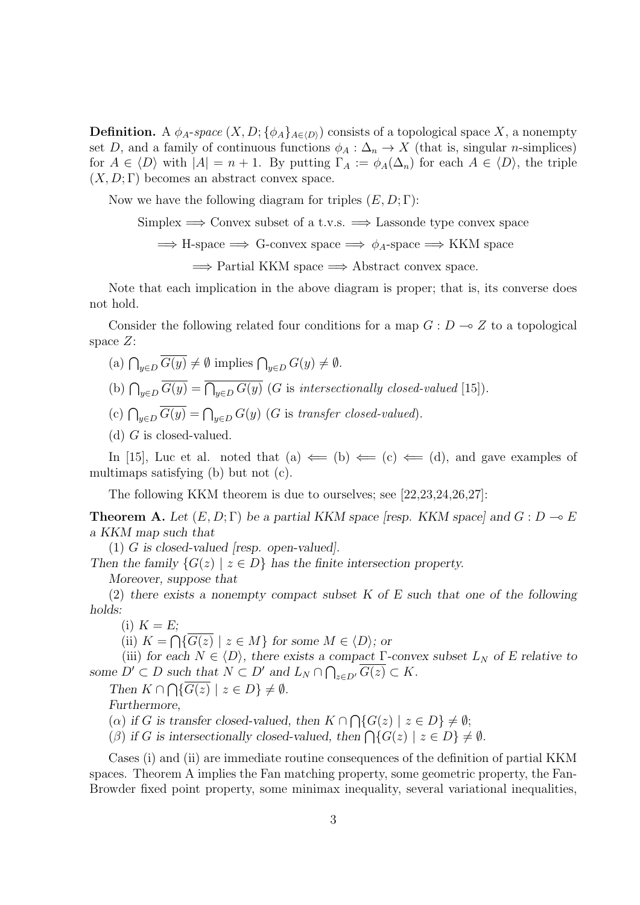**Definition.** A  $\phi_A$ -space  $(X, D; {\phi_A}_{A \in \langle D \rangle})$  consists of a topological space X, a nonempty set *D*, and a family of continuous functions  $\phi_A : \Delta_n \to X$  (that is, singular *n*-simplices) for  $A \in \langle D \rangle$  with  $|A| = n + 1$ . By putting  $\Gamma_A := \phi_A(\Delta_n)$  for each  $A \in \langle D \rangle$ , the triple  $(X, D; \Gamma)$  becomes an abstract convex space.

Now we have the following diagram for triples (*E, D*; Γ):

Simplex =*⇒* Convex subset of a t.v.s. =*⇒* Lassonde type convex space

=*⇒* H-space =*⇒* G-convex space =*⇒ ϕA*-space =*⇒* KKM space

=*⇒* Partial KKM space =*⇒* Abstract convex space.

Note that each implication in the above diagram is proper; that is, its converse does not hold.

Consider the following related four conditions for a map  $G: D \to Z$  to a topological space *Z*:

 $(a) \bigcap_{y \in D} \overline{G(y)} \neq \emptyset$  implies  $\bigcap_{y \in D} G(y) \neq \emptyset$ .

(b)  $\bigcap_{y \in D} \overline{G(y)} = \overline{\bigcap_{y \in D} G(y)}$  (*G* is *intersectionally closed-valued* [15]).

(c)  $\bigcap_{y \in D} \overline{G(y)} = \bigcap_{y \in D} G(y)$  (*G* is *transfer closed-valued*).

(d) *G* is closed-valued.

In [15], Luc et al. noted that (a)  $\Leftarrow$  (b)  $\Leftarrow$  (c)  $\Leftarrow$  (d), and gave examples of multimaps satisfying (b) but not (c).

The following KKM theorem is due to ourselves; see [22,23,24,26,27]:

**Theorem A.** Let  $(E, D; \Gamma)$  be a partial KKM space [resp. KKM space] and  $G: D \to E$ *a KKM map such that*

(1) *G is closed-valued [resp. open-valued].*

*Then the family*  $\{G(z) \mid z \in D\}$  *has the finite intersection property. Moreover, suppose that*

(2) *there exists a nonempty compact subset K of E such that one of the following*

*holds:*

(i)  $K = E$ ;

(ii)  $K = \bigcap \{ \overline{G(z)} \mid z \in M \}$  for some  $M \in \langle D \rangle$ ; or

(iii) *for each*  $N \in \langle D \rangle$ *, there exists a compact*  $\Gamma$ -convex subset  $L_N$  *of E relative to some*  $D' \subset D$  *such that*  $N \subset D'$  *and*  $L_N \cap \bigcap_{z \in D'} \overline{G(z)} \subset K$ *.* 

*Then*  $K \cap \bigcap \{ \overline{G(z)} \mid z \in D \} \neq \emptyset$ .

*Furthermore,*

( $\alpha$ ) *if G* is transfer closed-valued, then  $K \cap \bigcap \{G(z) \mid z \in D\} \neq \emptyset;$ 

(*β*) if *G* is intersectionally closed-valued, then  $\bigcap \{G(z) \mid z \in D\} \neq \emptyset$ .

Cases (i) and (ii) are immediate routine consequences of the definition of partial KKM spaces. Theorem A implies the Fan matching property, some geometric property, the Fan-Browder fixed point property, some minimax inequality, several variational inequalities,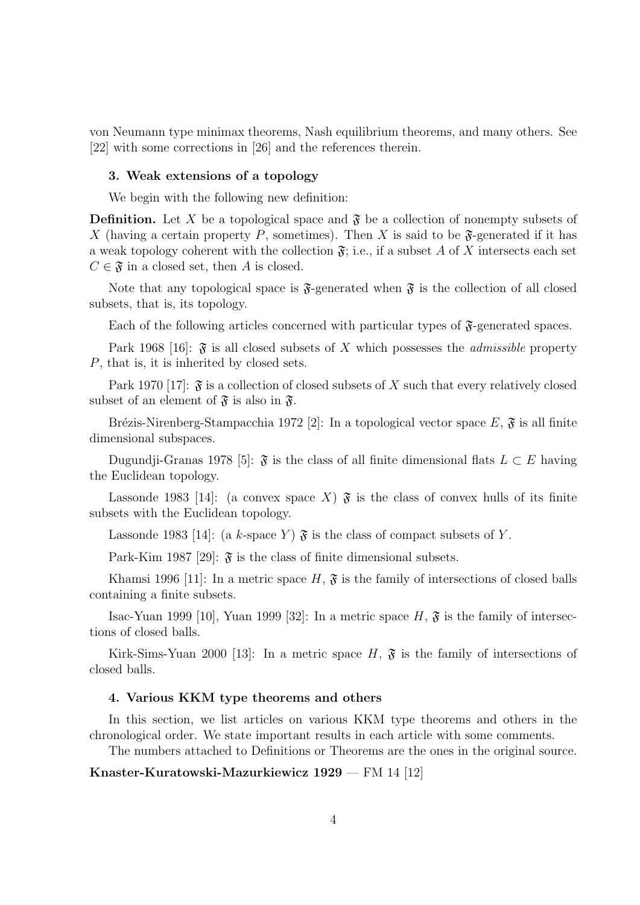von Neumann type minimax theorems, Nash equilibrium theorems, and many others. See [22] with some corrections in [26] and the references therein.

### **3. Weak extensions of a topology**

We begin with the following new definition:

**Definition.** Let X be a topological space and  $\mathfrak{F}$  be a collection of nonempty subsets of X (having a certain property P, sometimes). Then X is said to be  $\mathfrak{F}$ -generated if it has a weak topology coherent with the collection  $\mathfrak{F}$ ; i.e., if a subset A of X intersects each set  $C \in \mathfrak{F}$  in a closed set, then *A* is closed.

Note that any topological space is  $\mathfrak{F}$ -generated when  $\mathfrak{F}$  is the collection of all closed subsets, that is, its topology.

Each of the following articles concerned with particular types of  $\mathfrak{F}$ -generated spaces.

Park 1968 [16]:  $\mathfrak{F}$  is all closed subsets of X which possesses the *admissible* property *P*, that is, it is inherited by closed sets.

Park 1970 [17]:  $\mathfrak{F}$  is a collection of closed subsets of X such that every relatively closed subset of an element of  $\mathfrak{F}$  is also in  $\mathfrak{F}$ .

Brézis-Nirenberg-Stampacchia 1972 [2]: In a topological vector space  $E, \mathfrak{F}$  is all finite dimensional subspaces.

Dugundji-Granas 1978 [5]:  $\mathfrak{F}$  is the class of all finite dimensional flats  $L \subset E$  having the Euclidean topology.

Lassonde 1983 [14]: (a convex space X)  $\mathfrak F$  is the class of convex hulls of its finite subsets with the Euclidean topology.

Lassonde 1983 [14]: (a *k*-space *Y*)  $\mathfrak{F}$  is the class of compact subsets of *Y*.

Park-Kim 1987 [29]:  $\mathfrak{F}$  is the class of finite dimensional subsets.

Khamsi 1996 [11]: In a metric space  $H, \mathfrak{F}$  is the family of intersections of closed balls containing a finite subsets.

Isac-Yuan 1999 [10], Yuan 1999 [32]: In a metric space  $H$ ,  $\mathfrak{F}$  is the family of intersections of closed balls.

Kirk-Sims-Yuan 2000 [13]: In a metric space  $H$ ,  $\mathfrak{F}$  is the family of intersections of closed balls.

### **4. Various KKM type theorems and others**

In this section, we list articles on various KKM type theorems and others in the chronological order. We state important results in each article with some comments.

The numbers attached to Definitions or Theorems are the ones in the original source.

**Knaster-Kuratowski-Mazurkiewicz 1929** — FM 14 [12]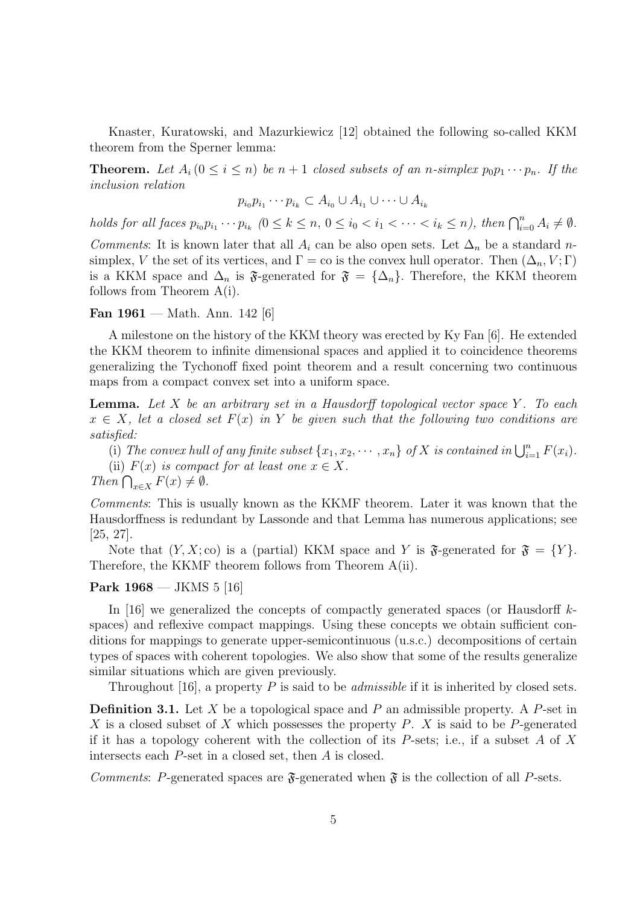Knaster, Kuratowski, and Mazurkiewicz [12] obtained the following so-called KKM theorem from the Sperner lemma:

**Theorem.** Let  $A_i$   $(0 \leq i \leq n)$  be  $n+1$  *closed subsets of an*  $n$ *-simplex*  $p_0p_1 \cdots p_n$ *. If the inclusion relation*

$$
p_{i_0}p_{i_1}\cdots p_{i_k}\subset A_{i_0}\cup A_{i_1}\cup\cdots\cup A_{i_k}
$$

holds for all faces  $p_{i_0}p_{i_1}\cdots p_{i_k}$   $(0 \le k \le n, 0 \le i_0 < i_1 < \cdots < i_k \le n)$ , then  $\bigcap_{i=0}^n A_i \ne \emptyset$ .

*Comments*: It is known later that all  $A_i$  can be also open sets. Let  $\Delta_n$  be a standard *n*simplex, *V* the set of its vertices, and  $\Gamma =$  co is the convex hull operator. Then  $(\Delta_n, V; \Gamma)$ is a KKM space and  $\Delta_n$  is  $\mathfrak{F}\text{-generated for } \mathfrak{F} = {\Delta_n}$ . Therefore, the KKM theorem follows from Theorem A(i).

**Fan 1961** — Math. Ann. 142 [6]

A milestone on the history of the KKM theory was erected by Ky Fan [6]. He extended the KKM theorem to infinite dimensional spaces and applied it to coincidence theorems generalizing the Tychonoff fixed point theorem and a result concerning two continuous maps from a compact convex set into a uniform space.

**Lemma.** *Let X be an arbitrary set in a Hausdorff topological vector space Y . To each*  $x \in X$ , let a closed set  $F(x)$  in Y be given such that the following two conditions are *satisfied:*

(i) The convex hull of any finite subset  $\{x_1, x_2, \cdots, x_n\}$  of  $X$  is contained in  $\bigcup_{i=1}^n F(x_i)$ . (ii)  $F(x)$  *is compact for at least one*  $x \in X$ *.* 

*Then*  $\bigcap_{x \in X} F(x) \neq \emptyset$ *.* 

*Comments*: This is usually known as the KKMF theorem. Later it was known that the Hausdorffness is redundant by Lassonde and that Lemma has numerous applications; see [25, 27].

Note that  $(Y, X; \text{co})$  is a (partial) KKM space and *Y* is  $\mathfrak{F}\text{-generated}$  for  $\mathfrak{F} = \{Y\}.$ Therefore, the KKMF theorem follows from Theorem A(ii).

## **Park 1968** — JKMS 5 [16]

In [16] we generalized the concepts of compactly generated spaces (or Hausdorff *k*spaces) and reflexive compact mappings. Using these concepts we obtain sufficient conditions for mappings to generate upper-semicontinuous (u.s.c.) decompositions of certain types of spaces with coherent topologies. We also show that some of the results generalize similar situations which are given previously.

Throughout [16], a property *P* is said to be *admissible* if it is inherited by closed sets.

**Definition 3.1.** Let *X* be a topological space and *P* an admissible property. A *P*-set in *X* is a closed subset of *X* which possesses the property *P*. *X* is said to be *P*-generated if it has a topology coherent with the collection of its *P*-sets; i.e., if a subset *A* of *X* intersects each *P*-set in a closed set, then *A* is closed.

*Comments: P*-generated spaces are  $\mathfrak{F}$ -generated when  $\mathfrak{F}$  is the collection of all *P*-sets.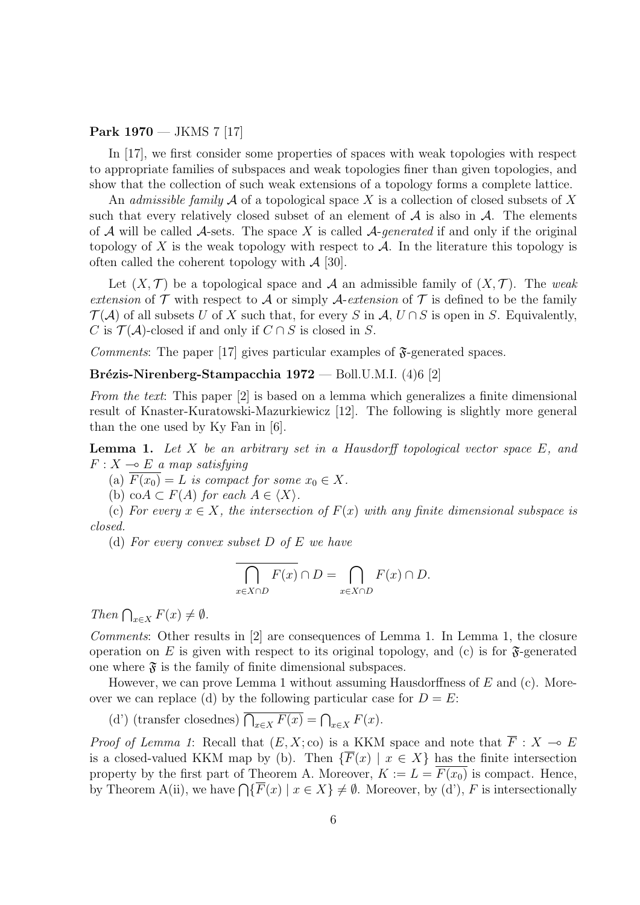**Park 1970** — JKMS 7 [17]

In [17], we first consider some properties of spaces with weak topologies with respect to appropriate families of subspaces and weak topologies finer than given topologies, and show that the collection of such weak extensions of a topology forms a complete lattice.

An *admissible family A* of a topological space *X* is a collection of closed subsets of *X* such that every relatively closed subset of an element of  $A$  is also in  $A$ . The elements of *A* will be called *A*-sets. The space *X* is called *A*-*generated* if and only if the original topology of X is the weak topology with respect to  $A$ . In the literature this topology is often called the coherent topology with *A* [30].

Let  $(X, \mathcal{T})$  be a topological space and  $\mathcal{A}$  an admissible family of  $(X, \mathcal{T})$ . The *weak extension* of  $\mathcal T$  with respect to  $\mathcal A$  or simply  $\mathcal A$ -*extension* of  $\mathcal T$  is defined to be the family  $\mathcal{T}(\mathcal{A})$  of all subsets *U* of *X* such that, for every *S* in  $\mathcal{A}, U \cap S$  is open in *S*. Equivalently, *C* is  $\mathcal{T}(\mathcal{A})$ -closed if and only if  $C \cap S$  is closed in *S*.

*Comments*: The paper [17] gives particular examples of  $\mathfrak{F}$ -generated spaces.

**Brézis-Nirenberg-Stampacchia 1972** — Boll.U.M.I. (4)6 [2]

*From the text*: This paper [2] is based on a lemma which generalizes a finite dimensional result of Knaster-Kuratowski-Mazurkiewicz [12]. The following is slightly more general than the one used by Ky Fan in [6].

**Lemma 1.** *Let X be an arbitrary set in a Hausdorff topological vector space E, and*  $F: X \longrightarrow E$  *a map satisfying* 

(a)  $\overline{F(x_0)} = L$  *is compact for some*  $x_0 \in X$ *.* 

(b)  $\operatorname{co}A \subset F(A)$  *for each*  $A \in \langle X \rangle$ *.* 

(c) For every  $x \in X$ , the intersection of  $F(x)$  with any finite dimensional subspace is *closed.*

(d) *For every convex subset D of E we have*

$$
\overline{\bigcap_{x\in X\cap D} F(x)} \cap D = \bigcap_{x\in X\cap D} F(x) \cap D.
$$

*Then*  $\bigcap_{x \in X} F(x) \neq \emptyset$ *.* 

*Comments*: Other results in [2] are consequences of Lemma 1. In Lemma 1, the closure operation on  $E$  is given with respect to its original topology, and (c) is for  $\mathfrak{F}\text{-generated}$ one where  $\mathfrak{F}$  is the family of finite dimensional subspaces.

However, we can prove Lemma 1 without assuming Hausdorffness of *E* and (c). Moreover we can replace (d) by the following particular case for  $D = E$ :

(d') (transfer closednes)  $\overline{\bigcap_{x \in X} F(x)} = \bigcap_{x \in X} F(x)$ .

*Proof of Lemma 1*: Recall that  $(E, X; \text{co})$  is a KKM space and note that  $\overline{F}: X \to E$ is a closed-valued KKM map by (b). Then  $\{\overline{F}(x) \mid x \in X\}$  has the finite intersection property by the first part of Theorem A. Moreover,  $K := L = \overline{F(x_0)}$  is compact. Hence, by Theorem A(ii), we have  $\bigcap \{ \overline{F}(x) \mid x \in X \} \neq \emptyset$ . Moreover, by (d'), *F* is intersectionally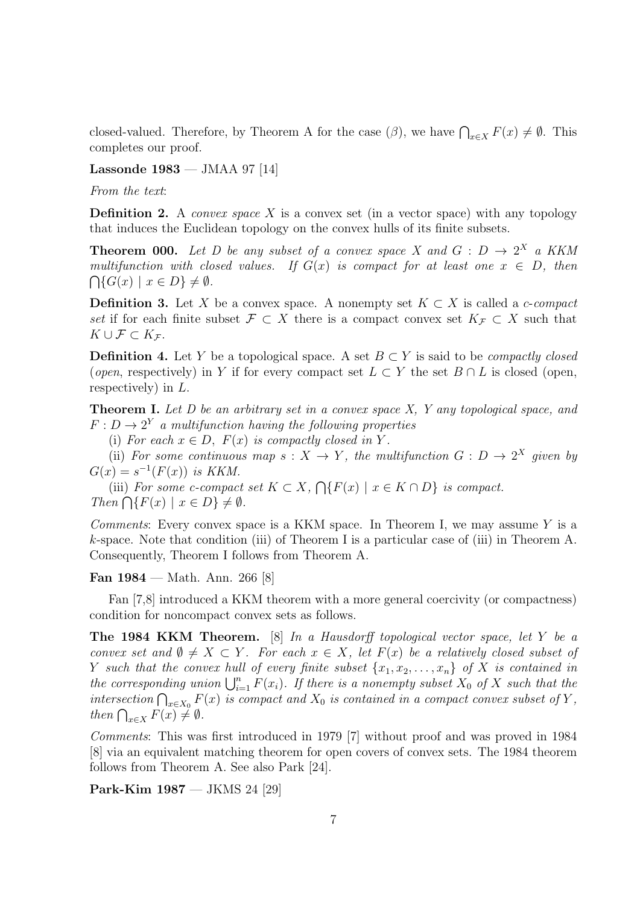closed-valued. Therefore, by Theorem A for the case  $(\beta)$ , we have  $\bigcap_{x \in X} F(x) \neq \emptyset$ . This completes our proof.

**Lassonde 1983** — JMAA 97 [14]

*From the text*:

**Definition 2.** A *convex space X* is a convex set (in a vector space) with any topology that induces the Euclidean topology on the convex hulls of its finite subsets.

**Theorem 000.** Let D be any subset of a convex space X and  $G: D \rightarrow 2^X$  a KKM *multifunction with closed values. If*  $G(x)$  *is compact for at least one*  $x \in D$ *, then*  $\bigcap \{ G(x) \mid x \in D \} \neq \emptyset$ .

**Definition 3.** Let *X* be a convex space. A nonempty set  $K \subset X$  is called a *c*-*compact set* if for each finite subset  $\mathcal{F} \subset X$  there is a compact convex set  $K_{\mathcal{F}} \subset X$  such that  $K \cup F \subset K$ *F*.

**Definition 4.** Let *Y* be a topological space. A set  $B \subset Y$  is said to be *compactly closed* (*open*, respectively) in *Y* if for every compact set  $L \subset Y$  the set  $B \cap L$  is closed (open, respectively) in *L*.

**Theorem I.** *Let D be an arbitrary set in a convex space X, Y any topological space, and*  $F: D \to 2^Y$  *a multifunction having the following properties* 

(i) For each  $x \in D$ ,  $F(x)$  is compactly closed in Y.

(ii) *For some continuous map*  $s: X \to Y$ *, the multifunction*  $G: D \to 2^X$  *given by*  $G(x) = s^{-1}(F(x))$  *is KKM.* 

(iii) *For some c-compact set*  $K \subset X$ ,  $\bigcap \{F(x) \mid x \in K \cap D\}$  *is compact.*  $Then \bigcap \{F(x) \mid x \in D\} \neq \emptyset.$ 

*Comments*: Every convex space is a KKM space. In Theorem I, we may assume *Y* is a *k*-space. Note that condition (iii) of Theorem I is a particular case of (iii) in Theorem A. Consequently, Theorem I follows from Theorem A.

**Fan 1984** — Math. Ann. 266 [8]

Fan [7,8] introduced a KKM theorem with a more general coercivity (or compactness) condition for noncompact convex sets as follows.

**The 1984 KKM Theorem.** [8] *In a Hausdorff topological vector space, let Y be a convex set and*  $\emptyset \neq X \subset Y$ *. For each*  $x \in X$ *, let*  $F(x)$  *be a relatively closed subset of Y* such that the convex hull of every finite subset  $\{x_1, x_2, \ldots, x_n\}$  of X is contained in *the corresponding union*  $\bigcup_{i=1}^{n} F(x_i)$ *. If there is a nonempty subset*  $X_0$  *of*  $X$  *such that the intersection*  $\bigcap_{x \in X_0} F(x)$  *is compact and*  $X_0$  *is contained in a compact convex subset of*  $Y$ , *then*  $\bigcap_{x \in X} F(x) \neq \emptyset$ .

*Comments*: This was first introduced in 1979 [7] without proof and was proved in 1984 [8] via an equivalent matching theorem for open covers of convex sets. The 1984 theorem follows from Theorem A. See also Park [24].

**Park-Kim 1987** — JKMS 24 [29]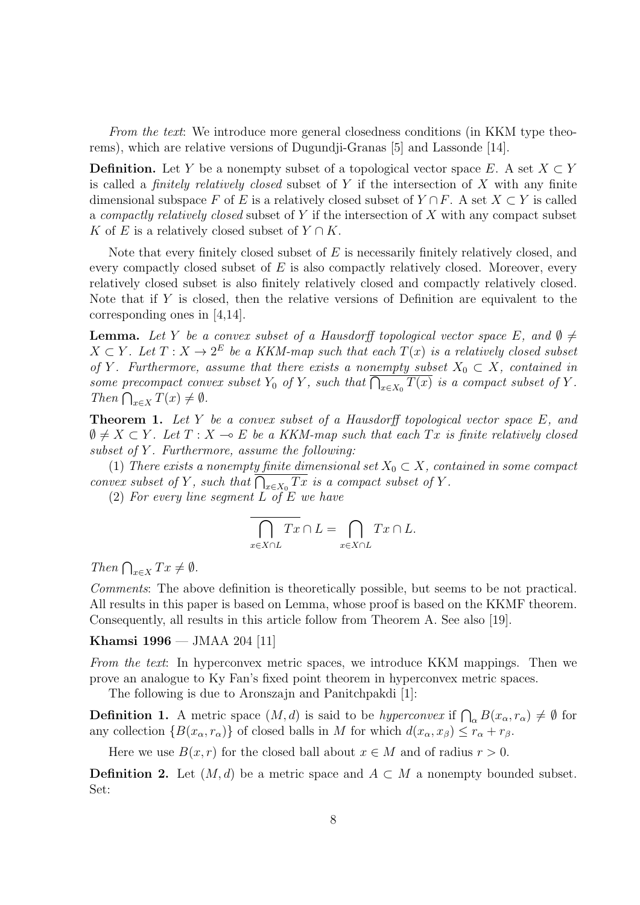*From the text*: We introduce more general closedness conditions (in KKM type theorems), which are relative versions of Dugundji-Granas [5] and Lassonde [14].

**Definition.** Let *Y* be a nonempty subset of a topological vector space *E*. A set  $X \subset Y$ is called a *finitely relatively closed* subset of *Y* if the intersection of *X* with any finite dimensional subspace *F* of *E* is a relatively closed subset of  $Y \cap F$ . A set  $X \subset Y$  is called a *compactly relatively closed* subset of *Y* if the intersection of *X* with any compact subset *K* of *E* is a relatively closed subset of  $Y \cap K$ .

Note that every finitely closed subset of *E* is necessarily finitely relatively closed, and every compactly closed subset of *E* is also compactly relatively closed. Moreover, every relatively closed subset is also finitely relatively closed and compactly relatively closed. Note that if *Y* is closed, then the relative versions of Definition are equivalent to the corresponding ones in [4,14].

**Lemma.** Let *Y* be a convex subset of a Hausdorff topological vector space *E*, and  $\emptyset \neq$  $X \subset Y$ . Let  $T : X \to 2^E$  be a KKM-map such that each  $T(x)$  is a relatively closed subset *of Y*. Furthermore, assume that there exists a nonempty subset  $X_0 \subset X$ *, contained in some precompact convex subset*  $Y_0$  *of*  $Y$ *, such that*  $\overline{\bigcap_{x \in X_0} T(x)}$  *is a compact subset of*  $Y$ *.*  $Then \bigcap_{x \in X} T(x) \neq \emptyset.$ 

**Theorem 1.** *Let Y be a convex subset of a Hausdorff topological vector space E, and*  $\emptyset \neq X \subset Y$ . Let  $T : X \multimap E$  be a KKM-map such that each  $Tx$  is finite relatively closed *subset of Y . Furthermore, assume the following:*

(1) *There exists a nonempty finite dimensional set*  $X_0 \subset X$ *, contained in some compact convex subset of Y*, such that  $\overline{\bigcap_{x \in X_0} Tx}$  *is a compact subset of Y*.

(2) *For every line segment L of E we have*

$$
\overline{\bigcap_{x\in X\cap L} Tx} \cap L = \bigcap_{x\in X\cap L} Tx \cap L.
$$

*Then*  $\bigcap_{x \in X} Tx \neq \emptyset$ *.* 

*Comments*: The above definition is theoretically possible, but seems to be not practical. All results in this paper is based on Lemma, whose proof is based on the KKMF theorem. Consequently, all results in this article follow from Theorem A. See also [19].

**Khamsi 1996** — JMAA 204 [11]

*From the text*: In hyperconvex metric spaces, we introduce KKM mappings. Then we prove an analogue to Ky Fan's fixed point theorem in hyperconvex metric spaces.

The following is due to Aronszajn and Panitchpakdi [1]:

**Definition 1.** A metric space  $(M, d)$  is said to be *hyperconvex* if  $\bigcap_{\alpha} B(x_{\alpha}, r_{\alpha}) \neq \emptyset$  for any collection  ${B(x_\alpha, r_\alpha)}$  of closed balls in *M* for which  $d(x_\alpha, x_\beta) \leq r_\alpha + r_\beta$ .

Here we use  $B(x, r)$  for the closed ball about  $x \in M$  and of radius  $r > 0$ .

**Definition 2.** Let  $(M, d)$  be a metric space and  $A \subset M$  a nonempty bounded subset. Set: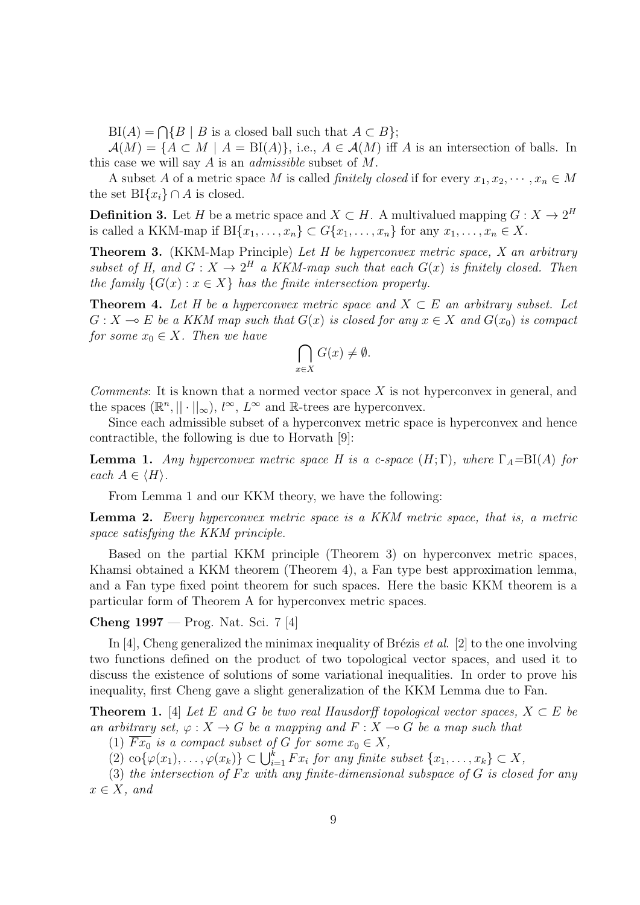$BI(A) = \bigcap \{B \mid B \text{ is a closed ball such that } A \subset B\};$ 

 $\mathcal{A}(M) = \{A \subset M \mid A = \text{BI}(A)\}\$ , i.e.,  $A \in \mathcal{A}(M)$  iff *A* is an intersection of balls. In this case we will say *A* is an *admissible* subset of *M*.

A subset A of a metric space M is called *finitely closed* if for every  $x_1, x_2, \dots, x_n \in M$ the set  $BI{x_i} \cap A$  is closed.

**Definition 3.** Let *H* be a metric space and  $X \subset H$ . A multivalued mapping  $G: X \to 2^H$ is called a KKM-map if  $BI\{x_1, \ldots, x_n\} \subset G\{x_1, \ldots, x_n\}$  for any  $x_1, \ldots, x_n \in X$ .

**Theorem 3.** (KKM-Map Principle) *Let H be hyperconvex metric space, X an arbitrary subset of H, and*  $G: X \to 2^H$  *a KKM-map such that each*  $G(x)$  *is finitely closed. Then the family*  ${G(x) : x \in X}$  *has the finite intersection property.* 

**Theorem 4.** Let H be a hyperconvex metric space and  $X \subset E$  an arbitrary subset. Let  $G: X \to E$  *be a KKM map such that*  $G(x)$  *is closed for any*  $x \in X$  *and*  $G(x_0)$  *is compact for some*  $x_0 \in X$ *. Then we have* 

$$
\bigcap_{x \in X} G(x) \neq \emptyset.
$$

*Comments*: It is known that a normed vector space *X* is not hyperconvex in general, and the spaces  $(\mathbb{R}^n, || \cdot ||_{\infty}), l^{\infty}, L^{\infty}$  and  $\mathbb{R}$ -trees are hyperconvex.

Since each admissible subset of a hyperconvex metric space is hyperconvex and hence contractible, the following is due to Horvath [9]:

**Lemma 1.** *Any hyperconvex metric space H is a c-space*  $(H; \Gamma)$ *, where*  $\Gamma_A = \text{BI}(A)$  *for each*  $A \in \langle H \rangle$ *.* 

From Lemma 1 and our KKM theory, we have the following:

**Lemma 2.** *Every hyperconvex metric space is a KKM metric space, that is, a metric space satisfying the KKM principle.*

Based on the partial KKM principle (Theorem 3) on hyperconvex metric spaces, Khamsi obtained a KKM theorem (Theorem 4), a Fan type best approximation lemma, and a Fan type fixed point theorem for such spaces. Here the basic KKM theorem is a particular form of Theorem A for hyperconvex metric spaces.

**Cheng 1997** — Prog. Nat. Sci. 7 [4]

In [4], Cheng generalized the minimax inequality of Brézis *et al.* [2] to the one involving two functions defined on the product of two topological vector spaces, and used it to discuss the existence of solutions of some variational inequalities. In order to prove his inequality, first Cheng gave a slight generalization of the KKM Lemma due to Fan.

**Theorem 1.** [4] *Let*  $E$  *and*  $G$  *be two real Hausdorff topological vector spaces,*  $X \subset E$  *be an arbitrary set,*  $\varphi$  :  $X \to G$  *be a mapping and*  $F : X \to G$  *be a map such that* 

(1)  $\overline{Fx_0}$  *is a compact subset of G for some*  $x_0 \in X$ ,

 $\{\varphi(x_1), \ldots, \varphi(x_k)\} \subset \bigcup_{i=1}^k F x_i$  for any finite subset  $\{x_1, \ldots, x_k\} \subset X$ ,

(3) *the intersection of F x with any finite-dimensional subspace of G is closed for any*  $x \in X$ *, and*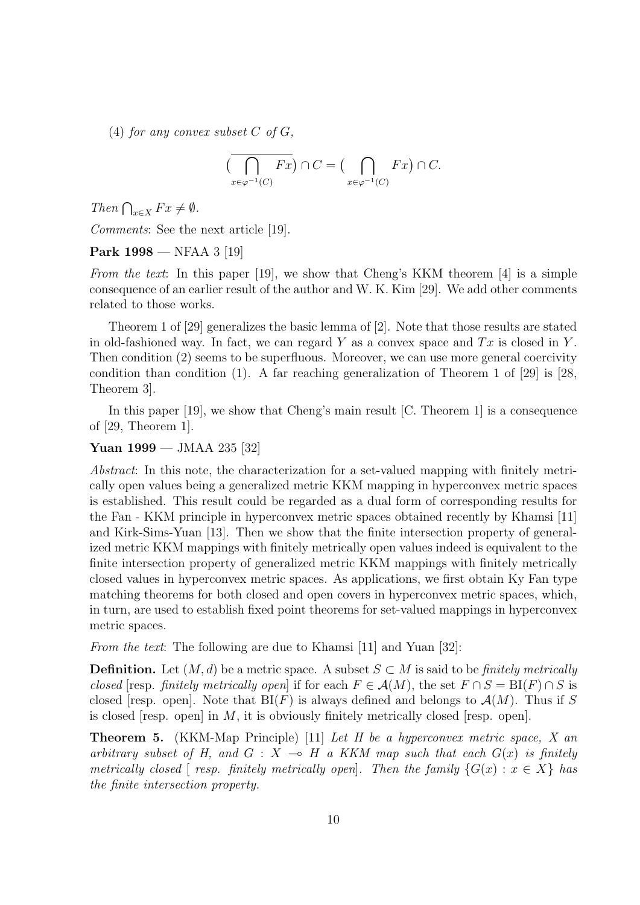(4) *for any convex subset*  $C$  *of*  $G$ *,* 

$$
(\overline{\bigcap_{x \in \varphi^{-1}(C)} Fx}) \cap C = (\bigcap_{x \in \varphi^{-1}(C)} Fx) \cap C.
$$

*Then*  $\bigcap_{x \in X} F x \neq \emptyset$ *.* 

*Comments*: See the next article [19].

### **Park 1998** — NFAA 3 [19]

*From the text*: In this paper [19], we show that Cheng's KKM theorem [4] is a simple consequence of an earlier result of the author and W. K. Kim [29]. We add other comments related to those works.

Theorem 1 of [29] generalizes the basic lemma of [2]. Note that those results are stated in old-fashioned way. In fact, we can regard *Y* as a convex space and *T x* is closed in *Y* . Then condition (2) seems to be superfluous. Moreover, we can use more general coercivity condition than condition (1). A far reaching generalization of Theorem 1 of  $[29]$  is [28, Theorem 3].

In this paper [19], we show that Cheng's main result [C. Theorem 1] is a consequence of [29, Theorem 1].

### **Yuan 1999** — JMAA 235 [32]

*Abstract*: In this note, the characterization for a set-valued mapping with finitely metrically open values being a generalized metric KKM mapping in hyperconvex metric spaces is established. This result could be regarded as a dual form of corresponding results for the Fan - KKM principle in hyperconvex metric spaces obtained recently by Khamsi [11] and Kirk-Sims-Yuan [13]. Then we show that the finite intersection property of generalized metric KKM mappings with finitely metrically open values indeed is equivalent to the finite intersection property of generalized metric KKM mappings with finitely metrically closed values in hyperconvex metric spaces. As applications, we first obtain Ky Fan type matching theorems for both closed and open covers in hyperconvex metric spaces, which, in turn, are used to establish fixed point theorems for set-valued mappings in hyperconvex metric spaces.

*From the text*: The following are due to Khamsi [11] and Yuan [32]:

**Definition.** Let  $(M, d)$  be a metric space. A subset  $S \subset M$  is said to be *finitely metrically closed* [resp. *finitely metrically open*] if for each  $F \in \mathcal{A}(M)$ , the set  $F \cap S = \text{BI}(F) \cap S$  is closed [resp. open]. Note that  $BI(F)$  is always defined and belongs to  $\mathcal{A}(M)$ . Thus if S is closed [resp. open] in *M*, it is obviously finitely metrically closed [resp. open].

**Theorem 5.** (KKM-Map Principle) [11] *Let H be a hyperconvex metric space, X an arbitrary subset of H, and*  $G: X \rightarrow H$  *a KKM map such that each*  $G(x)$  *is finitely metrically closed*  $[$  *resp. finitely metrically open* $]$ *. Then the family*  ${G(x) : x \in X}$  *has the finite intersection property.*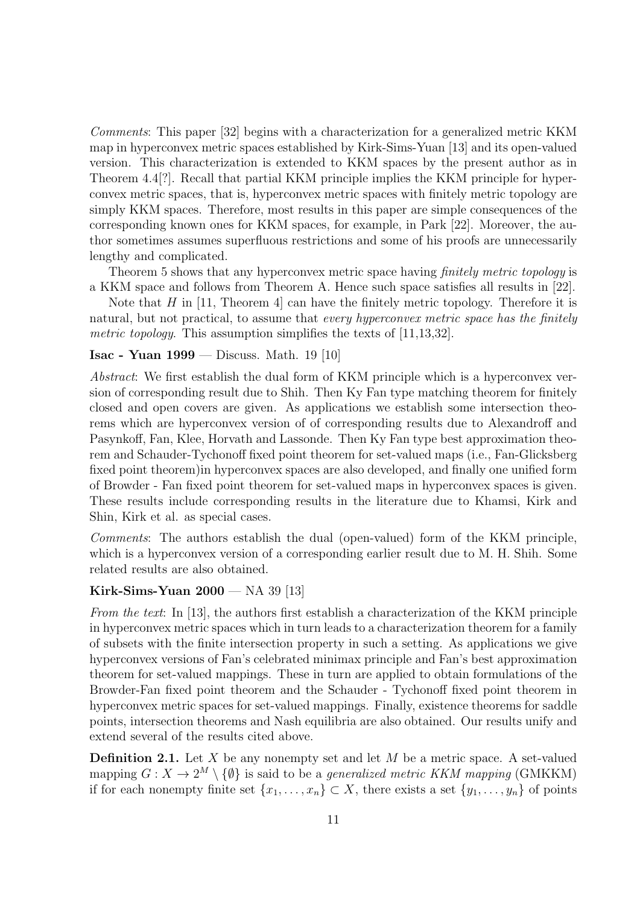*Comments*: This paper [32] begins with a characterization for a generalized metric KKM map in hyperconvex metric spaces established by Kirk-Sims-Yuan [13] and its open-valued version. This characterization is extended to KKM spaces by the present author as in Theorem 4.4[?]. Recall that partial KKM principle implies the KKM principle for hyperconvex metric spaces, that is, hyperconvex metric spaces with finitely metric topology are simply KKM spaces. Therefore, most results in this paper are simple consequences of the corresponding known ones for KKM spaces, for example, in Park [22]. Moreover, the author sometimes assumes superfluous restrictions and some of his proofs are unnecessarily lengthy and complicated.

Theorem 5 shows that any hyperconvex metric space having *finitely metric topology* is a KKM space and follows from Theorem A. Hence such space satisfies all results in [22].

Note that *H* in [11, Theorem 4] can have the finitely metric topology. Therefore it is natural, but not practical, to assume that *every hyperconvex metric space has the finitely metric topology*. This assumption simplifies the texts of [11,13,32].

### **Isac - Yuan 1999** — Discuss. Math. 19 [10]

*Abstract*: We first establish the dual form of KKM principle which is a hyperconvex version of corresponding result due to Shih. Then Ky Fan type matching theorem for finitely closed and open covers are given. As applications we establish some intersection theorems which are hyperconvex version of of corresponding results due to Alexandroff and Pasynkoff, Fan, Klee, Horvath and Lassonde. Then Ky Fan type best approximation theorem and Schauder-Tychonoff fixed point theorem for set-valued maps (i.e., Fan-Glicksberg fixed point theorem)in hyperconvex spaces are also developed, and finally one unified form of Browder - Fan fixed point theorem for set-valued maps in hyperconvex spaces is given. These results include corresponding results in the literature due to Khamsi, Kirk and Shin, Kirk et al. as special cases.

*Comments*: The authors establish the dual (open-valued) form of the KKM principle, which is a hyperconvex version of a corresponding earlier result due to M. H. Shih. Some related results are also obtained.

### **Kirk-Sims-Yuan 2000** — NA 39 [13]

*From the text*: In [13], the authors first establish a characterization of the KKM principle in hyperconvex metric spaces which in turn leads to a characterization theorem for a family of subsets with the finite intersection property in such a setting. As applications we give hyperconvex versions of Fan's celebrated minimax principle and Fan's best approximation theorem for set-valued mappings. These in turn are applied to obtain formulations of the Browder-Fan fixed point theorem and the Schauder - Tychonoff fixed point theorem in hyperconvex metric spaces for set-valued mappings. Finally, existence theorems for saddle points, intersection theorems and Nash equilibria are also obtained. Our results unify and extend several of the results cited above.

**Definition 2.1.** Let *X* be any nonempty set and let *M* be a metric space. A set-valued mapping  $G: X \to 2^M \setminus \{\emptyset\}$  is said to be a *generalized metric KKM mapping* (GMKKM) if for each nonempty finite set  $\{x_1, \ldots, x_n\} \subset X$ , there exists a set  $\{y_1, \ldots, y_n\}$  of points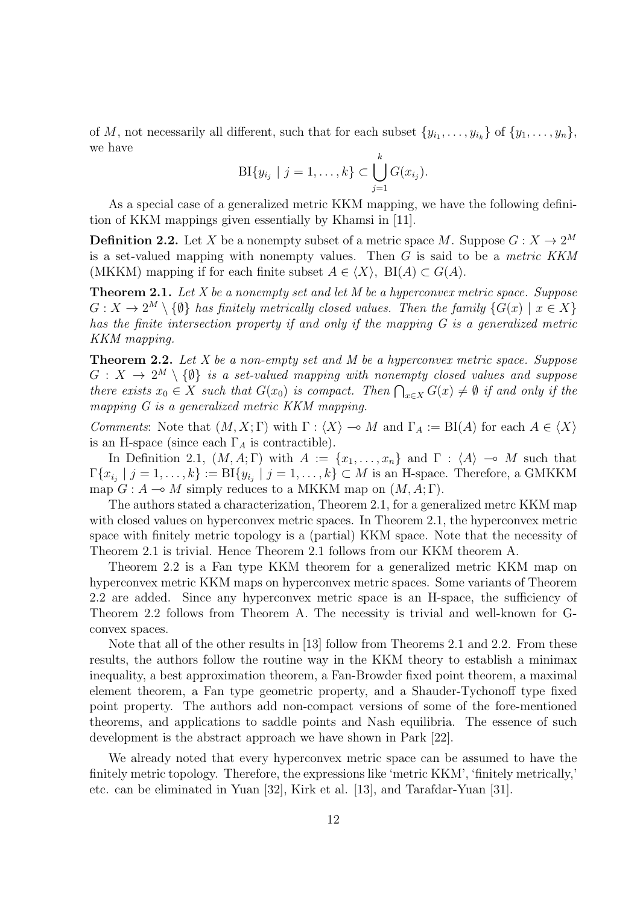of *M*, not necessarily all different, such that for each subset  $\{y_{i_1}, \ldots, y_{i_k}\}$  of  $\{y_1, \ldots, y_n\}$ , we have

$$
\text{BI}\{y_{i_j} \mid j = 1, \dots, k\} \subset \bigcup_{j=1}^k G(x_{i_j}).
$$

As a special case of a generalized metric KKM mapping, we have the following definition of KKM mappings given essentially by Khamsi in [11].

**Definition 2.2.** Let *X* be a nonempty subset of a metric space *M*. Suppose  $G: X \to 2^M$ is a set-valued mapping with nonempty values. Then *G* is said to be a *metric KKM* (MKKM) mapping if for each finite subset  $A \in \langle X \rangle$ , BI( $A \subset G(A)$ .

**Theorem 2.1.** *Let X be a nonempty set and let M be a hyperconvex metric space. Suppose*  $G: X \to 2^M \setminus {\emptyset}$  *has finitely metrically closed values. Then the family*  $\{G(x) \mid x \in X\}$ *has the finite intersection property if and only if the mapping G is a generalized metric KKM mapping.*

**Theorem 2.2.** *Let X be a non-empty set and M be a hyperconvex metric space. Suppose*  $G: X \rightarrow 2^M \setminus \{\emptyset\}$  *is a set-valued mapping with nonempty closed values and suppose there exists*  $x_0 \in X$  *such that*  $G(x_0)$  *is compact. Then*  $\bigcap_{x \in X} G(x) \neq \emptyset$  *if and only if the mapping G is a generalized metric KKM mapping.*

*Comments*: Note that  $(M, X; \Gamma)$  with  $\Gamma : \langle X \rangle \to M$  and  $\Gamma_A := \text{BI}(A)$  for each  $A \in \langle X \rangle$ is an H-space (since each  $\Gamma_A$  is contractible).

In Definition 2.1,  $(M, A; \Gamma)$  with  $A := \{x_1, \ldots, x_n\}$  and  $\Gamma : \langle A \rangle \to M$  such that  $\Gamma\{x_{i_j} \mid j = 1, \ldots, k\} := \text{BI}\{y_{i_j} \mid j = 1, \ldots, k\} \subset M$  is an H-space. Therefore, a GMKKM map  $G: A \rightarrow M$  simply reduces to a MKKM map on  $(M, A; \Gamma)$ .

The authors stated a characterization, Theorem 2.1, for a generalized metrc KKM map with closed values on hyperconvex metric spaces. In Theorem 2.1, the hyperconvex metric space with finitely metric topology is a (partial) KKM space. Note that the necessity of Theorem 2.1 is trivial. Hence Theorem 2.1 follows from our KKM theorem A.

Theorem 2.2 is a Fan type KKM theorem for a generalized metric KKM map on hyperconvex metric KKM maps on hyperconvex metric spaces. Some variants of Theorem 2.2 are added. Since any hyperconvex metric space is an H-space, the sufficiency of Theorem 2.2 follows from Theorem A. The necessity is trivial and well-known for Gconvex spaces.

Note that all of the other results in [13] follow from Theorems 2.1 and 2.2. From these results, the authors follow the routine way in the KKM theory to establish a minimax inequality, a best approximation theorem, a Fan-Browder fixed point theorem, a maximal element theorem, a Fan type geometric property, and a Shauder-Tychonoff type fixed point property. The authors add non-compact versions of some of the fore-mentioned theorems, and applications to saddle points and Nash equilibria. The essence of such development is the abstract approach we have shown in Park [22].

We already noted that every hyperconvex metric space can be assumed to have the finitely metric topology. Therefore, the expressions like 'metric KKM', 'finitely metrically,' etc. can be eliminated in Yuan [32], Kirk et al. [13], and Tarafdar-Yuan [31].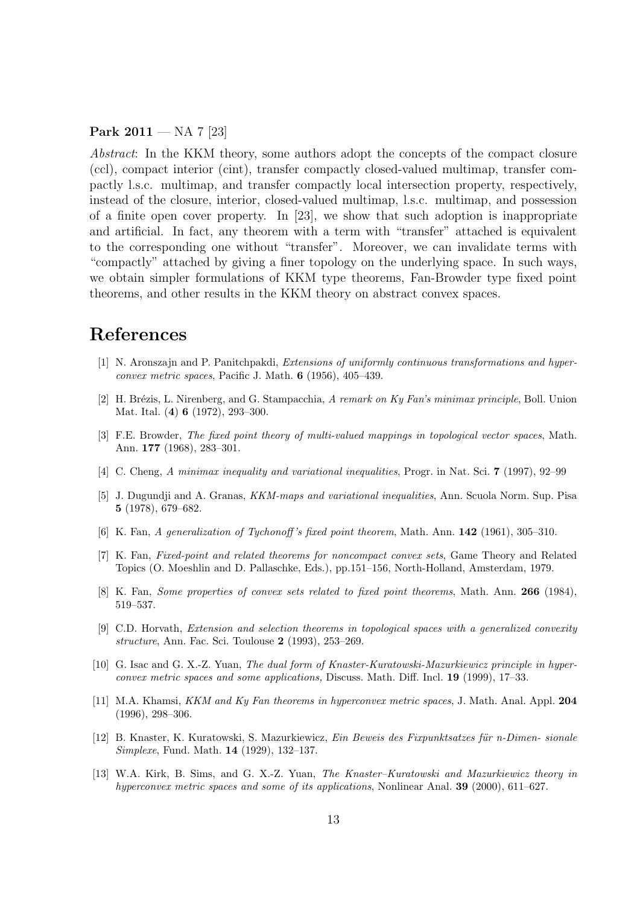**Park 2011** — NA 7 [23]

*Abstract*: In the KKM theory, some authors adopt the concepts of the compact closure (ccl), compact interior (cint), transfer compactly closed-valued multimap, transfer compactly l.s.c. multimap, and transfer compactly local intersection property, respectively, instead of the closure, interior, closed-valued multimap, l.s.c. multimap, and possession of a finite open cover property. In [23], we show that such adoption is inappropriate and artificial. In fact, any theorem with a term with "transfer" attached is equivalent to the corresponding one without "transfer". Moreover, we can invalidate terms with "compactly" attached by giving a finer topology on the underlying space. In such ways, we obtain simpler formulations of KKM type theorems, Fan-Browder type fixed point theorems, and other results in the KKM theory on abstract convex spaces.

# **References**

- [1] N. Aronszajn and P. Panitchpakdi, *Extensions of uniformly continuous transformations and hyperconvex metric spaces*, Pacific J. Math. **6** (1956), 405–439.
- [2] H. Br´ezis, L. Nirenberg, and G. Stampacchia, *A remark on Ky Fan's minimax principle*, Boll. Union Mat. Ital. (**4**) **6** (1972), 293–300.
- [3] F.E. Browder, *The fixed point theory of multi-valued mappings in topological vector spaces*, Math. Ann. **177** (1968), 283–301.
- [4] C. Cheng, *A minimax inequality and variational inequalities*, Progr. in Nat. Sci. **7** (1997), 92–99
- [5] J. Dugundji and A. Granas, *KKM-maps and variational inequalities*, Ann. Scuola Norm. Sup. Pisa **5** (1978), 679–682.
- [6] K. Fan, *A generalization of Tychonoff 's fixed point theorem*, Math. Ann. **142** (1961), 305–310.
- [7] K. Fan, *Fixed-point and related theorems for noncompact convex sets*, Game Theory and Related Topics (O. Moeshlin and D. Pallaschke, Eds.), pp.151–156, North-Holland, Amsterdam, 1979.
- [8] K. Fan, *Some properties of convex sets related to fixed point theorems*, Math. Ann. **266** (1984), 519–537.
- [9] C.D. Horvath, *Extension and selection theorems in topological spaces with a generalized convexity structure*, Ann. Fac. Sci. Toulouse **2** (1993), 253–269.
- [10] G. Isac and G. X.-Z. Yuan, *The dual form of Knaster-Kuratowski-Mazurkiewicz principle in hyperconvex metric spaces and some applications,* Discuss. Math. Diff. Incl. **19** (1999), 17–33.
- [11] M.A. Khamsi, *KKM and Ky Fan theorems in hyperconvex metric spaces*, J. Math. Anal. Appl. **204** (1996), 298–306.
- [12] B. Knaster, K. Kuratowski, S. Mazurkiewicz, *Ein Beweis des Fixpunktsatzes f¨ur n-Dimen- sionale Simplexe*, Fund. Math. **14** (1929), 132–137.
- [13] W.A. Kirk, B. Sims, and G. X.-Z. Yuan, *The Knaster–Kuratowski and Mazurkiewicz theory in hyperconvex metric spaces and some of its applications*, Nonlinear Anal. **39** (2000), 611–627.